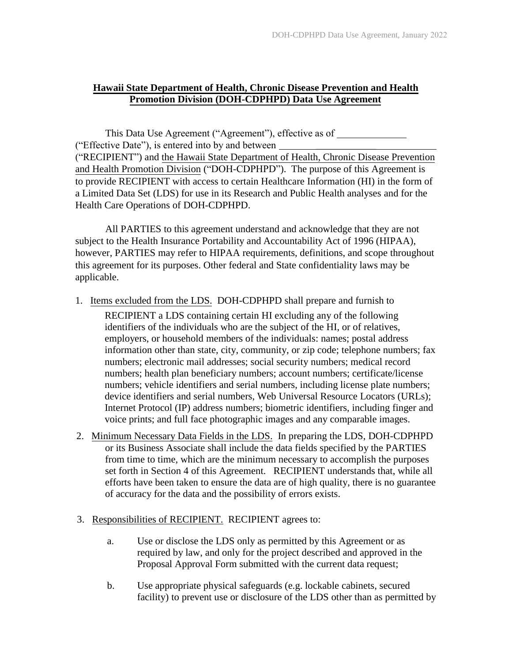# **Hawaii State Department of Health, Chronic Disease Prevention and Health Promotion Division (DOH-CDPHPD) Data Use Agreement**

This Data Use Agreement ("Agreement"), effective as of ("Effective Date"), is entered into by and between \_\_\_\_\_\_\_\_\_\_\_\_ ("RECIPIENT") and the Hawaii State Department of Health, Chronic Disease Prevention and Health Promotion Division ("DOH-CDPHPD"). The purpose of this Agreement is to provide RECIPIENT with access to certain Healthcare Information (HI) in the form of a Limited Data Set (LDS) for use in its Research and Public Health analyses and for the Health Care Operations of DOH-CDPHPD.

All PARTIES to this agreement understand and acknowledge that they are not subject to the Health Insurance Portability and Accountability Act of 1996 (HIPAA), however, PARTIES may refer to HIPAA requirements, definitions, and scope throughout this agreement for its purposes. Other federal and State confidentiality laws may be applicable.

1. Items excluded from the LDS. DOH-CDPHPD shall prepare and furnish to

RECIPIENT a LDS containing certain HI excluding any of the following identifiers of the individuals who are the subject of the HI, or of relatives, employers, or household members of the individuals: names; postal address information other than state, city, community, or zip code; telephone numbers; fax numbers; electronic mail addresses; social security numbers; medical record numbers; health plan beneficiary numbers; account numbers; certificate/license numbers; vehicle identifiers and serial numbers, including license plate numbers; device identifiers and serial numbers, Web Universal Resource Locators (URLs); Internet Protocol (IP) address numbers; biometric identifiers, including finger and voice prints; and full face photographic images and any comparable images.

- 2. Minimum Necessary Data Fields in the LDS. In preparing the LDS, DOH-CDPHPD or its Business Associate shall include the data fields specified by the PARTIES from time to time, which are the minimum necessary to accomplish the purposes set forth in Section 4 of this Agreement. RECIPIENT understands that, while all efforts have been taken to ensure the data are of high quality, there is no guarantee of accuracy for the data and the possibility of errors exists.
- 3. Responsibilities of RECIPIENT. RECIPIENT agrees to:
	- a. Use or disclose the LDS only as permitted by this Agreement or as required by law, and only for the project described and approved in the Proposal Approval Form submitted with the current data request;
	- b. Use appropriate physical safeguards (e.g. lockable cabinets, secured facility) to prevent use or disclosure of the LDS other than as permitted by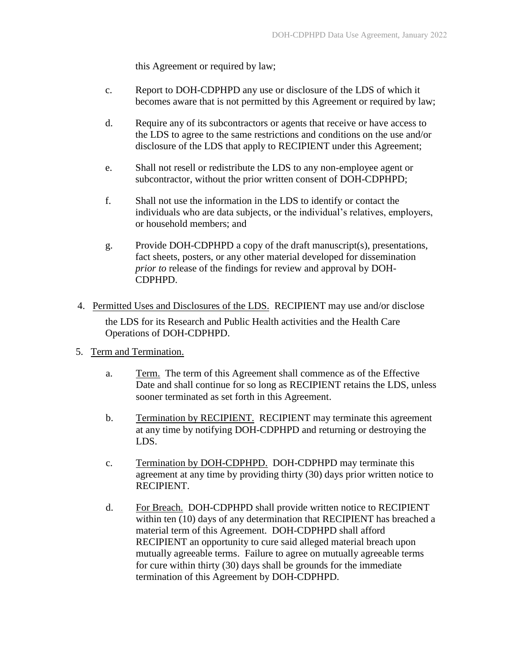this Agreement or required by law;

- c. Report to DOH-CDPHPD any use or disclosure of the LDS of which it becomes aware that is not permitted by this Agreement or required by law;
- d. Require any of its subcontractors or agents that receive or have access to the LDS to agree to the same restrictions and conditions on the use and/or disclosure of the LDS that apply to RECIPIENT under this Agreement;
- e. Shall not resell or redistribute the LDS to any non-employee agent or subcontractor, without the prior written consent of DOH-CDPHPD;
- f. Shall not use the information in the LDS to identify or contact the individuals who are data subjects, or the individual's relatives, employers, or household members; and
- g. Provide DOH-CDPHPD a copy of the draft manuscript(s), presentations, fact sheets, posters, or any other material developed for dissemination *prior to* release of the findings for review and approval by DOH-CDPHPD.
- 4. Permitted Uses and Disclosures of the LDS. RECIPIENT may use and/or disclose the LDS for its Research and Public Health activities and the Health Care Operations of DOH-CDPHPD.
- 5. Term and Termination.
	- a. Term. The term of this Agreement shall commence as of the Effective Date and shall continue for so long as RECIPIENT retains the LDS, unless sooner terminated as set forth in this Agreement.
	- b. Termination by RECIPIENT. RECIPIENT may terminate this agreement at any time by notifying DOH-CDPHPD and returning or destroying the LDS.
	- c. Termination by DOH-CDPHPD. DOH-CDPHPD may terminate this agreement at any time by providing thirty (30) days prior written notice to RECIPIENT.
	- d. For Breach. DOH-CDPHPD shall provide written notice to RECIPIENT within ten (10) days of any determination that RECIPIENT has breached a material term of this Agreement. DOH-CDPHPD shall afford RECIPIENT an opportunity to cure said alleged material breach upon mutually agreeable terms. Failure to agree on mutually agreeable terms for cure within thirty (30) days shall be grounds for the immediate termination of this Agreement by DOH-CDPHPD.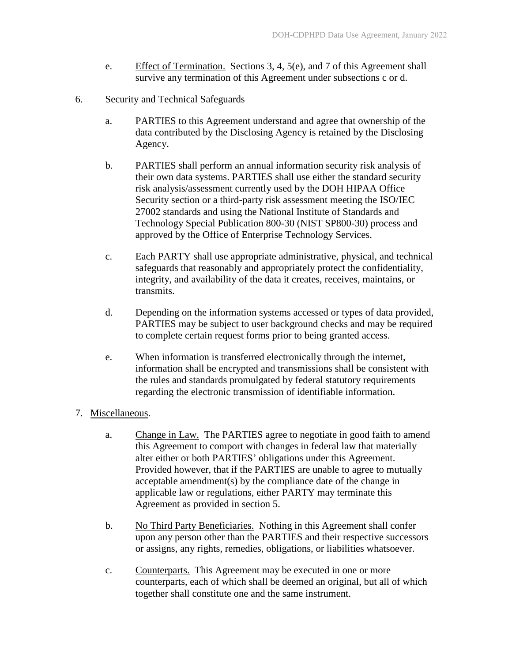- e. Effect of Termination. Sections 3, 4, 5(e), and 7 of this Agreement shall survive any termination of this Agreement under subsections c or d.
- 6. Security and Technical Safeguards
	- a. PARTIES to this Agreement understand and agree that ownership of the data contributed by the Disclosing Agency is retained by the Disclosing Agency.
	- b. PARTIES shall perform an annual information security risk analysis of their own data systems. PARTIES shall use either the standard security risk analysis/assessment currently used by the DOH HIPAA Office Security section or a third-party risk assessment meeting the ISO/IEC 27002 standards and using the National Institute of Standards and Technology Special Publication 800-30 (NIST SP800-30) process and approved by the Office of Enterprise Technology Services.
	- c. Each PARTY shall use appropriate administrative, physical, and technical safeguards that reasonably and appropriately protect the confidentiality, integrity, and availability of the data it creates, receives, maintains, or transmits.
	- d. Depending on the information systems accessed or types of data provided, PARTIES may be subject to user background checks and may be required to complete certain request forms prior to being granted access.
	- e. When information is transferred electronically through the internet, information shall be encrypted and transmissions shall be consistent with the rules and standards promulgated by federal statutory requirements regarding the electronic transmission of identifiable information.

## 7. Miscellaneous.

- a. Change in Law. The PARTIES agree to negotiate in good faith to amend this Agreement to comport with changes in federal law that materially alter either or both PARTIES' obligations under this Agreement. Provided however, that if the PARTIES are unable to agree to mutually acceptable amendment(s) by the compliance date of the change in applicable law or regulations, either PARTY may terminate this Agreement as provided in section 5.
- b. No Third Party Beneficiaries. Nothing in this Agreement shall confer upon any person other than the PARTIES and their respective successors or assigns, any rights, remedies, obligations, or liabilities whatsoever.
- c. Counterparts. This Agreement may be executed in one or more counterparts, each of which shall be deemed an original, but all of which together shall constitute one and the same instrument.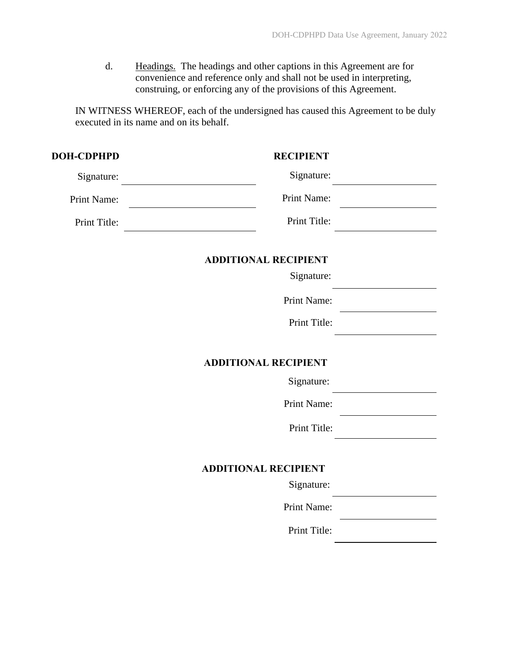d. Headings. The headings and other captions in this Agreement are for convenience and reference only and shall not be used in interpreting, construing, or enforcing any of the provisions of this Agreement.

IN WITNESS WHEREOF, each of the undersigned has caused this Agreement to be duly executed in its name and on its behalf.

| <b>DOH-CDPHPD</b> | <b>RECIPIENT</b>            |  |
|-------------------|-----------------------------|--|
| Signature:        | Signature:                  |  |
| Print Name:       | Print Name:                 |  |
| Print Title:      | Print Title:                |  |
|                   | <b>ADDITIONAL RECIPIENT</b> |  |
|                   | Signature:                  |  |
|                   | Print Name:                 |  |
|                   | Print Title:                |  |
|                   | <b>ADDITIONAL RECIPIENT</b> |  |
|                   | Signature:                  |  |
|                   | Print Name:                 |  |
|                   | Print Title:                |  |
|                   | <b>ADDITIONAL RECIPIENT</b> |  |
|                   | Signature:                  |  |
|                   | Print Name:                 |  |
|                   | Print Title:                |  |
|                   |                             |  |